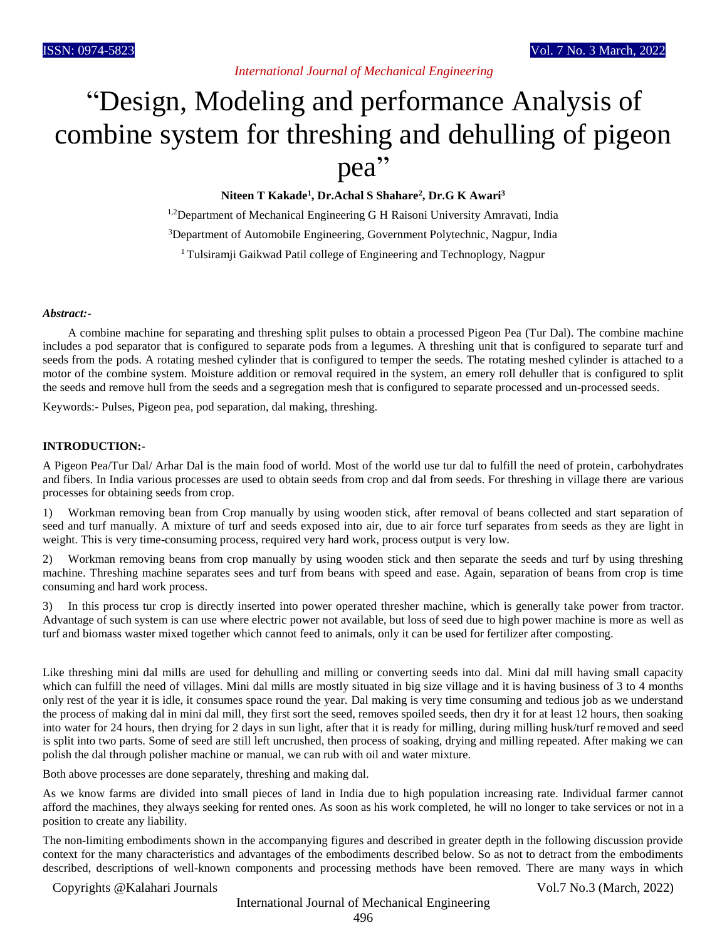## *International Journal of Mechanical Engineering*

# "Design, Modeling and performance Analysis of combine system for threshing and dehulling of pigeon pea"

**Niteen T Kakade<sup>1</sup> , Dr.Achal S Shahare<sup>2</sup> , Dr.G K Awari<sup>3</sup>**

<sup>1,2</sup>Department of Mechanical Engineering G H Raisoni University Amravati, India <sup>3</sup>Department of Automobile Engineering, Government Polytechnic, Nagpur, India <sup>1</sup> Tulsiramji Gaikwad Patil college of Engineering and Technoplogy, Nagpur

#### *Abstract:-*

A combine machine for separating and threshing split pulses to obtain a processed Pigeon Pea (Tur Dal). The combine machine includes a pod separator that is configured to separate pods from a legumes. A threshing unit that is configured to separate turf and seeds from the pods. A rotating meshed cylinder that is configured to temper the seeds. The rotating meshed cylinder is attached to a motor of the combine system. Moisture addition or removal required in the system, an emery roll dehuller that is configured to split the seeds and remove hull from the seeds and a segregation mesh that is configured to separate processed and un-processed seeds.

Keywords:- Pulses, Pigeon pea, pod separation, dal making, threshing.

#### **INTRODUCTION:-**

A Pigeon Pea/Tur Dal/ Arhar Dal is the main food of world. Most of the world use tur dal to fulfill the need of protein, carbohydrates and fibers. In India various processes are used to obtain seeds from crop and dal from seeds. For threshing in village there are various processes for obtaining seeds from crop.

1) Workman removing bean from Crop manually by using wooden stick, after removal of beans collected and start separation of seed and turf manually. A mixture of turf and seeds exposed into air, due to air force turf separates from seeds as they are light in weight. This is very time-consuming process, required very hard work, process output is very low.

2) Workman removing beans from crop manually by using wooden stick and then separate the seeds and turf by using threshing machine. Threshing machine separates sees and turf from beans with speed and ease. Again, separation of beans from crop is time consuming and hard work process.

3) In this process tur crop is directly inserted into power operated thresher machine, which is generally take power from tractor. Advantage of such system is can use where electric power not available, but loss of seed due to high power machine is more as well as turf and biomass waster mixed together which cannot feed to animals, only it can be used for fertilizer after composting.

Like threshing mini dal mills are used for dehulling and milling or converting seeds into dal. Mini dal mill having small capacity which can fulfill the need of villages. Mini dal mills are mostly situated in big size village and it is having business of 3 to 4 months only rest of the year it is idle, it consumes space round the year. Dal making is very time consuming and tedious job as we understand the process of making dal in mini dal mill, they first sort the seed, removes spoiled seeds, then dry it for at least 12 hours, then soaking into water for 24 hours, then drying for 2 days in sun light, after that it is ready for milling, during milling husk/turf removed and seed is split into two parts. Some of seed are still left uncrushed, then process of soaking, drying and milling repeated. After making we can polish the dal through polisher machine or manual, we can rub with oil and water mixture.

Both above processes are done separately, threshing and making dal.

As we know farms are divided into small pieces of land in India due to high population increasing rate. Individual farmer cannot afford the machines, they always seeking for rented ones. As soon as his work completed, he will no longer to take services or not in a position to create any liability.

The non-limiting embodiments shown in the accompanying figures and described in greater depth in the following discussion provide context for the many characteristics and advantages of the embodiments described below. So as not to detract from the embodiments described, descriptions of well-known components and processing methods have been removed. There are many ways in which

## Copyrights @Kalahari Journals Vol.7 No.3 (March, 2022)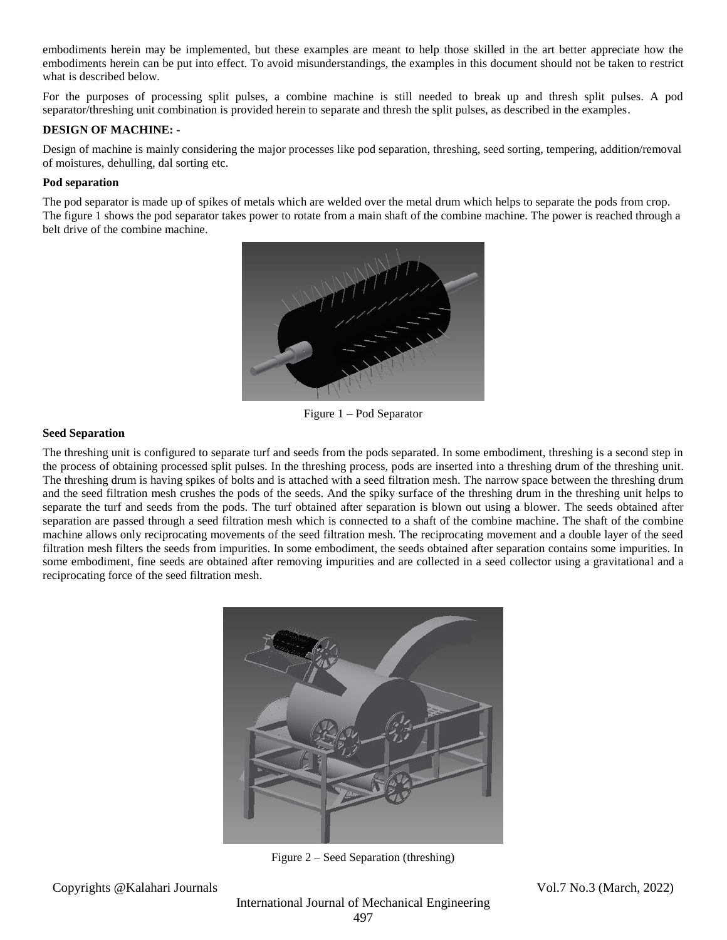embodiments herein may be implemented, but these examples are meant to help those skilled in the art better appreciate how the embodiments herein can be put into effect. To avoid misunderstandings, the examples in this document should not be taken to restrict what is described below.

For the purposes of processing split pulses, a combine machine is still needed to break up and thresh split pulses. A pod separator/threshing unit combination is provided herein to separate and thresh the split pulses, as described in the examples.

## **DESIGN OF MACHINE: -**

Design of machine is mainly considering the major processes like pod separation, threshing, seed sorting, tempering, addition/removal of moistures, dehulling, dal sorting etc.

## **Pod separation**

The pod separator is made up of spikes of metals which are welded over the metal drum which helps to separate the pods from crop. The figure 1 shows the pod separator takes power to rotate from a main shaft of the combine machine. The power is reached through a belt drive of the combine machine.



Figure 1 – Pod Separator

## **Seed Separation**

The threshing unit is configured to separate turf and seeds from the pods separated. In some embodiment, threshing is a second step in the process of obtaining processed split pulses. In the threshing process, pods are inserted into a threshing drum of the threshing unit. The threshing drum is having spikes of bolts and is attached with a seed filtration mesh. The narrow space between the threshing drum and the seed filtration mesh crushes the pods of the seeds. And the spiky surface of the threshing drum in the threshing unit helps to separate the turf and seeds from the pods. The turf obtained after separation is blown out using a blower. The seeds obtained after separation are passed through a seed filtration mesh which is connected to a shaft of the combine machine. The shaft of the combine machine allows only reciprocating movements of the seed filtration mesh. The reciprocating movement and a double layer of the seed filtration mesh filters the seeds from impurities. In some embodiment, the seeds obtained after separation contains some impurities. In some embodiment, fine seeds are obtained after removing impurities and are collected in a seed collector using a gravitational and a reciprocating force of the seed filtration mesh.



Figure 2 – Seed Separation (threshing)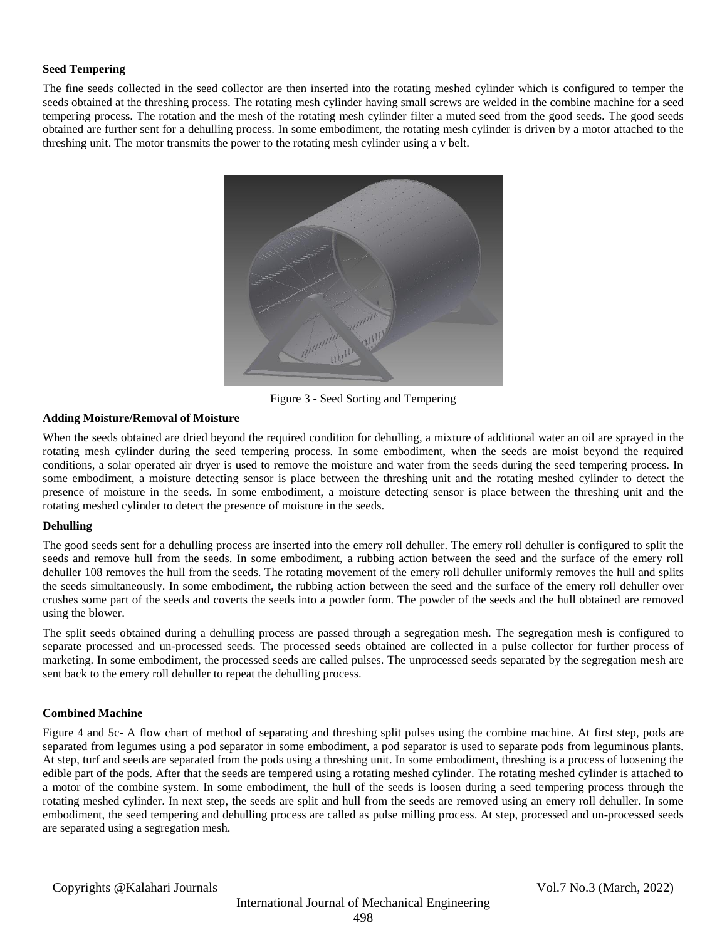## **Seed Tempering**

The fine seeds collected in the seed collector are then inserted into the rotating meshed cylinder which is configured to temper the seeds obtained at the threshing process. The rotating mesh cylinder having small screws are welded in the combine machine for a seed tempering process. The rotation and the mesh of the rotating mesh cylinder filter a muted seed from the good seeds. The good seeds obtained are further sent for a dehulling process. In some embodiment, the rotating mesh cylinder is driven by a motor attached to the threshing unit. The motor transmits the power to the rotating mesh cylinder using a v belt.



Figure 3 - Seed Sorting and Tempering

## **Adding Moisture/Removal of Moisture**

When the seeds obtained are dried beyond the required condition for dehulling, a mixture of additional water an oil are sprayed in the rotating mesh cylinder during the seed tempering process. In some embodiment, when the seeds are moist beyond the required conditions, a solar operated air dryer is used to remove the moisture and water from the seeds during the seed tempering process. In some embodiment, a moisture detecting sensor is place between the threshing unit and the rotating meshed cylinder to detect the presence of moisture in the seeds. In some embodiment, a moisture detecting sensor is place between the threshing unit and the rotating meshed cylinder to detect the presence of moisture in the seeds.

## **Dehulling**

The good seeds sent for a dehulling process are inserted into the emery roll dehuller. The emery roll dehuller is configured to split the seeds and remove hull from the seeds. In some embodiment, a rubbing action between the seed and the surface of the emery roll dehuller 108 removes the hull from the seeds. The rotating movement of the emery roll dehuller uniformly removes the hull and splits the seeds simultaneously. In some embodiment, the rubbing action between the seed and the surface of the emery roll dehuller over crushes some part of the seeds and coverts the seeds into a powder form. The powder of the seeds and the hull obtained are removed using the blower.

The split seeds obtained during a dehulling process are passed through a segregation mesh. The segregation mesh is configured to separate processed and un-processed seeds. The processed seeds obtained are collected in a pulse collector for further process of marketing. In some embodiment, the processed seeds are called pulses. The unprocessed seeds separated by the segregation mesh are sent back to the emery roll dehuller to repeat the dehulling process.

#### **Combined Machine**

Figure 4 and 5c- A flow chart of method of separating and threshing split pulses using the combine machine. At first step, pods are separated from legumes using a pod separator in some embodiment, a pod separator is used to separate pods from leguminous plants. At step, turf and seeds are separated from the pods using a threshing unit. In some embodiment, threshing is a process of loosening the edible part of the pods. After that the seeds are tempered using a rotating meshed cylinder. The rotating meshed cylinder is attached to a motor of the combine system. In some embodiment, the hull of the seeds is loosen during a seed tempering process through the rotating meshed cylinder. In next step, the seeds are split and hull from the seeds are removed using an emery roll dehuller. In some embodiment, the seed tempering and dehulling process are called as pulse milling process. At step, processed and un-processed seeds are separated using a segregation mesh.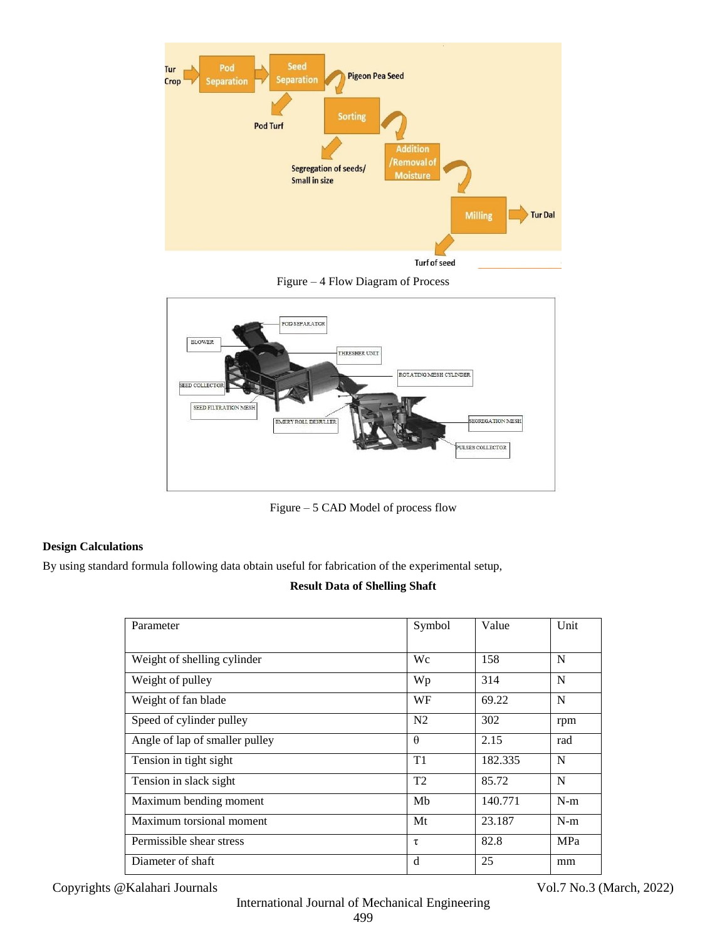

Figure – 4 Flow Diagram of Process



Figure – 5 CAD Model of process flow

# **Design Calculations**

By using standard formula following data obtain useful for fabrication of the experimental setup,

# **Result Data of Shelling Shaft**

| Parameter                      | Symbol         | Value   | Unit  |
|--------------------------------|----------------|---------|-------|
|                                |                |         |       |
| Weight of shelling cylinder    | Wс             | 158     | N     |
| Weight of pulley               | Wp             | 314     | N     |
| Weight of fan blade            | WF             | 69.22   | N     |
| Speed of cylinder pulley       | N <sub>2</sub> | 302     | rpm   |
| Angle of lap of smaller pulley | $\theta$       | 2.15    | rad   |
| Tension in tight sight         | T1             | 182.335 | N     |
| Tension in slack sight         | T2             | 85.72   | N     |
| Maximum bending moment         | Mb             | 140.771 | $N-m$ |
| Maximum torsional moment       | Mt             | 23.187  | $N-m$ |
| Permissible shear stress       | τ              | 82.8    | MPa   |
| Diameter of shaft              | d              | 25      | mm    |

Copyrights @Kalahari Journals Vol.7 No.3 (March, 2022)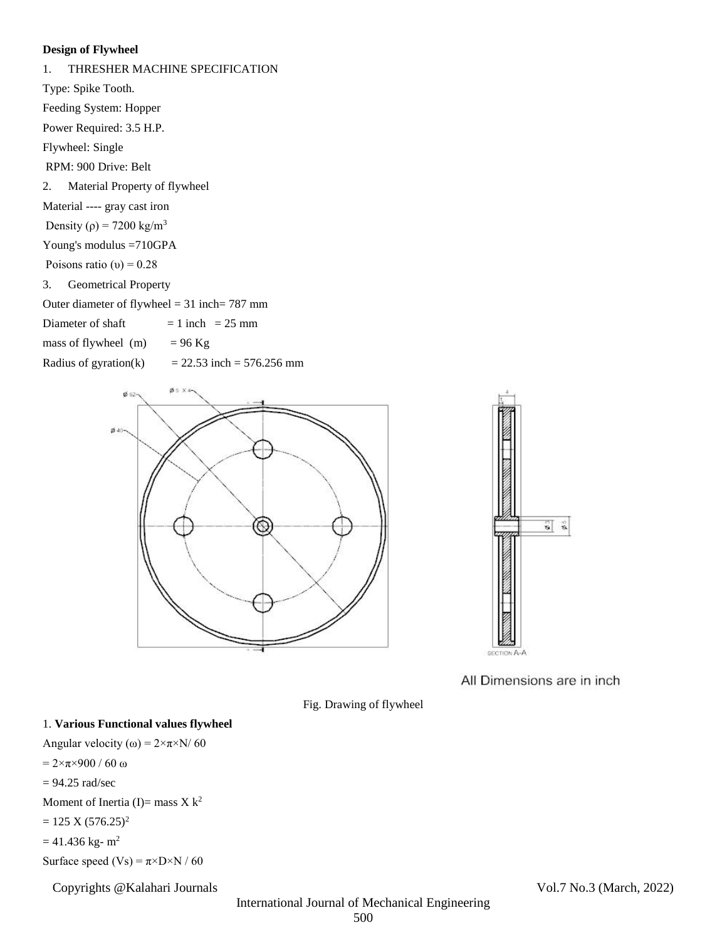## **Design of Flywheel**

# 1. THRESHER MACHINE SPECIFICATION Type: Spike Tooth. Feeding System: Hopper Power Required: 3.5 H.P.

Flywheel: Single

RPM: 900 Drive: Belt

2. Material Property of flywheel

Material ---- gray cast iron

Density ( $\rho$ ) = 7200 kg/m<sup>3</sup>

Young's modulus =710GPA

Poisons ratio (υ) =  $0.28$ 

3. Geometrical Property

Outer diameter of flywheel = 31 inch= 787 mm

Diameter of shaft  $= 1$  inch  $= 25$  mm

mass of flywheel (m)  $= 96$  Kg

Radius of gyration(k)  $= 22.53$  inch  $= 576.256$  mm





All Dimensions are in inch

Fig. Drawing of flywheel

# 1. **Various Functional values flywheel**

Angular velocity (ω) =  $2 \times \pi \times N/60$ 

 $= 2 \times π \times 900 / 60$  ω

 $= 94.25$  rad/sec

Moment of Inertia (I)= mass  $X k^2$ 

$$
= 125 \text{ X } (576.25)^2
$$

 $= 41.436$  kg- $m<sup>2</sup>$ 

Surface speed  $(Vs) = \pi \times D \times N / 60$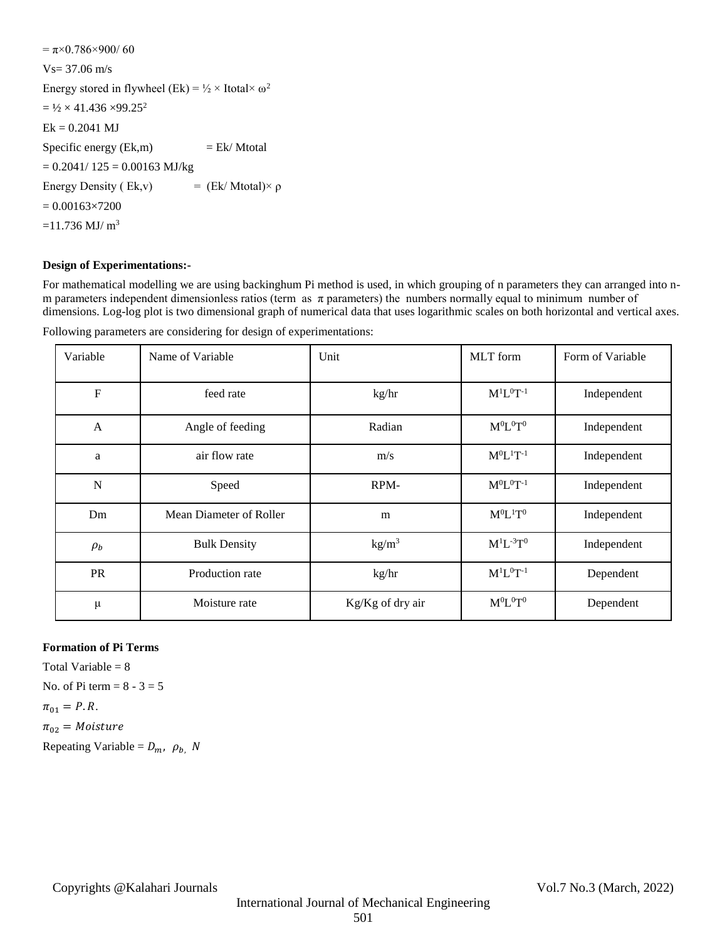$=\pi \times 0.786 \times 900/60$ Vs= 37.06 m/s Energy stored in flywheel (Ek) =  $\frac{1}{2} \times$  Itotal $\times \omega^2$  $= 1/2 \times 41.436 \times 99.25^2$  $Ek = 0.2041$  MJ Specific energy  $(Ek,m)$  = Ek/Mtotal  $= 0.2041/ 125 = 0.00163$  MJ/kg Energy Density ( Ek,v)  $=$  (Ek/ Mtotal)× ρ  $= 0.00163 \times 7200$  $=11.736$  MJ/ m<sup>3</sup>

## **Design of Experimentations:-**

For mathematical modelling we are using backinghum Pi method is used, in which grouping of n parameters they can arranged into nm parameters independent dimensionless ratios (term as  $\pi$  parameters) the numbers normally equal to minimum number of dimensions. Log-log plot is two dimensional graph of numerical data that uses logarithmic scales on both horizontal and vertical axes.

| Variable  | Name of Variable        | Unit              | MLT form           | Form of Variable |
|-----------|-------------------------|-------------------|--------------------|------------------|
| ${\bf F}$ | feed rate               | kg/hr             | $M^{1}L^{0}T^{-1}$ | Independent      |
| A         | Angle of feeding        | Radian            | $M^0L^0T^0$        | Independent      |
| a         | air flow rate           | m/s               | $M^0L^1T^{-1}$     | Independent      |
| N         | Speed                   | RPM-              | $M^0L^0T^{-1}$     | Independent      |
| Dm        | Mean Diameter of Roller | m                 | $M^0L^1T^0$        | Independent      |
| $\rho_b$  | <b>Bulk Density</b>     | kg/m <sup>3</sup> | $M^{1}L^{-3}T^{0}$ | Independent      |
| PR        | Production rate         | kg/hr             | $M^{1}L^{0}T^{-1}$ | Dependent        |
| μ         | Moisture rate           | Kg/Kg of dry air  | $M^0L^0T^0$        | Dependent        |

Following parameters are considering for design of experimentations:

## **Formation of Pi Terms**

Total Variable  $= 8$ No. of Pi term  $= 8 - 3 = 5$  $\pi_{01} = P.R.$  $\pi_{02}$  = Moisture Repeating Variable =  $D_m$ ,  $\rho_b$ , N

# 501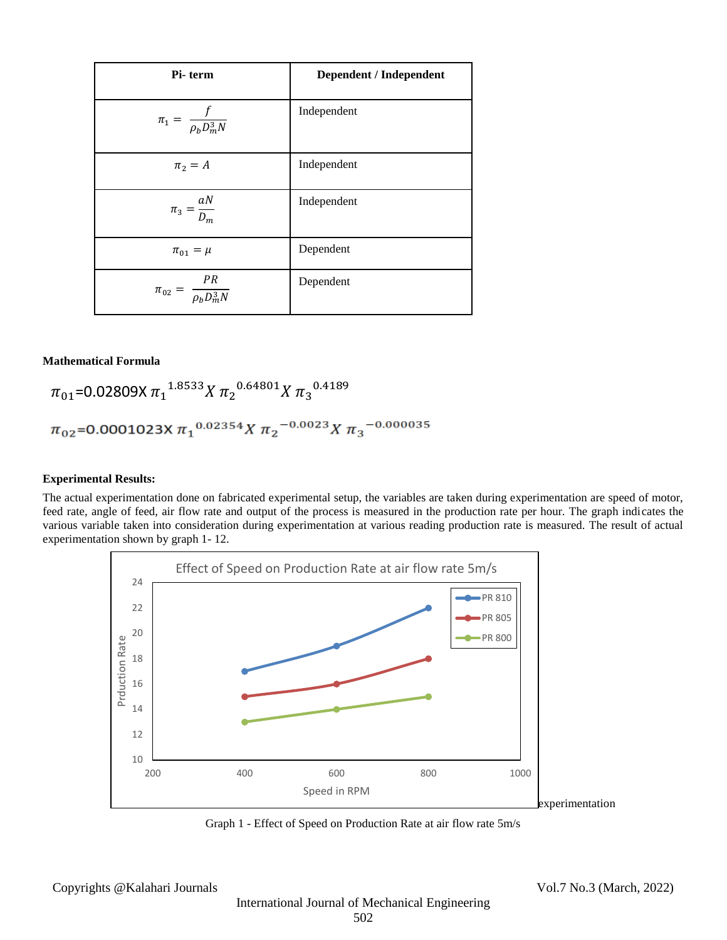| Pi-term                                | Dependent / Independent |
|----------------------------------------|-------------------------|
| $\pi_1 = \frac{f}{\rho_b D_m^3 N}$     | Independent             |
| $\pi_2 = A$                            | Independent             |
| $\pi_3 = \frac{aN}{D_m}$               | Independent             |
| $\pi_{01} = \mu$                       | Dependent               |
| $\pi_{02} = \frac{PR}{\rho_b D_m^3 N}$ | Dependent               |

## **Mathematical Formula**

 $\pi_{01}$ =0.02809X  $\pi_1^{-1.8533}$ X  $\pi_2^{-0.64801}$ X  $\pi_3^{-0.4189}$  $\pi_{02}$ =0.0001023X  $\pi_1$ <sup>0.02354</sup>X  $\pi_2$ <sup>-0.0023</sup>X  $\pi_3$ <sup>-0.000035</sup>

#### **Experimental Results:**

The actual experimentation done on fabricated experimental setup, the variables are taken during experimentation are speed of motor, feed rate, angle of feed, air flow rate and output of the process is measured in the production rate per hour. The graph indicates the various variable taken into consideration during experimentation at various reading production rate is measured. The result of actual experimentation shown by graph 1- 12.



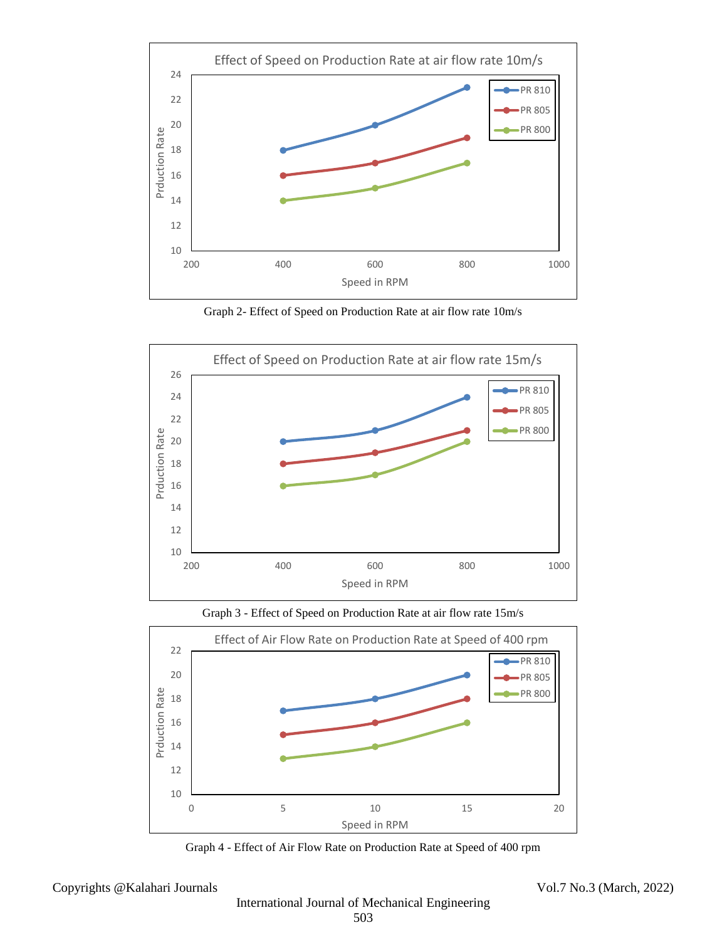

Graph 2- Effect of Speed on Production Rate at air flow rate 10m/s



Graph 3 - Effect of Speed on Production Rate at air flow rate 15m/s



Graph 4 - Effect of Air Flow Rate on Production Rate at Speed of 400 rpm

Copyrights @Kalahari Journals Vol.7 No.3 (March, 2022)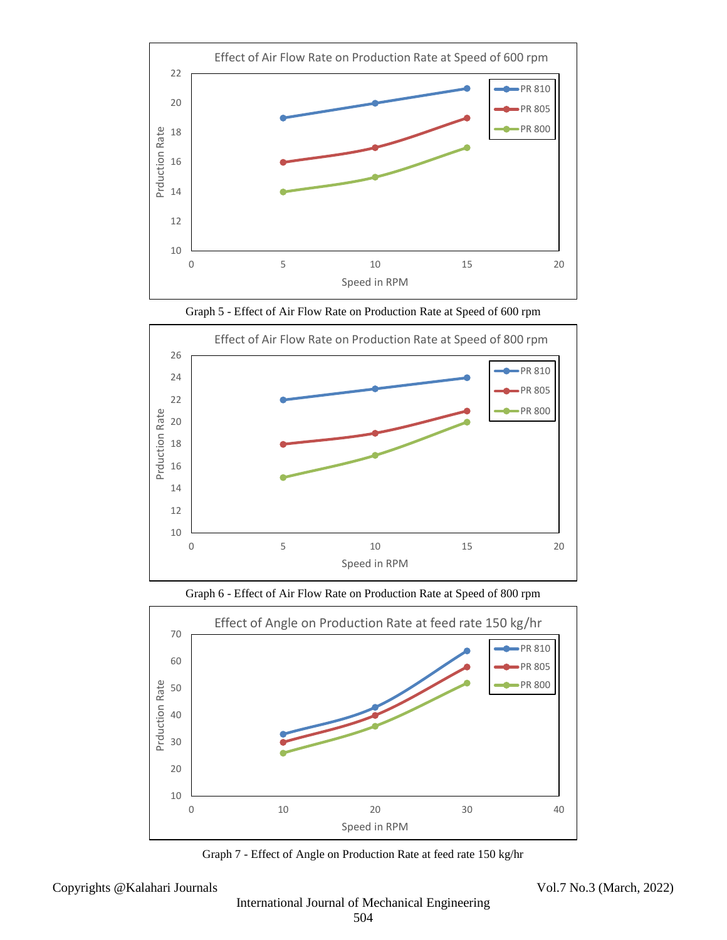

Graph 5 - Effect of Air Flow Rate on Production Rate at Speed of 600 rpm







Graph 7 - Effect of Angle on Production Rate at feed rate 150 kg/hr

Copyrights @Kalahari Journals Vol.7 No.3 (March, 2022)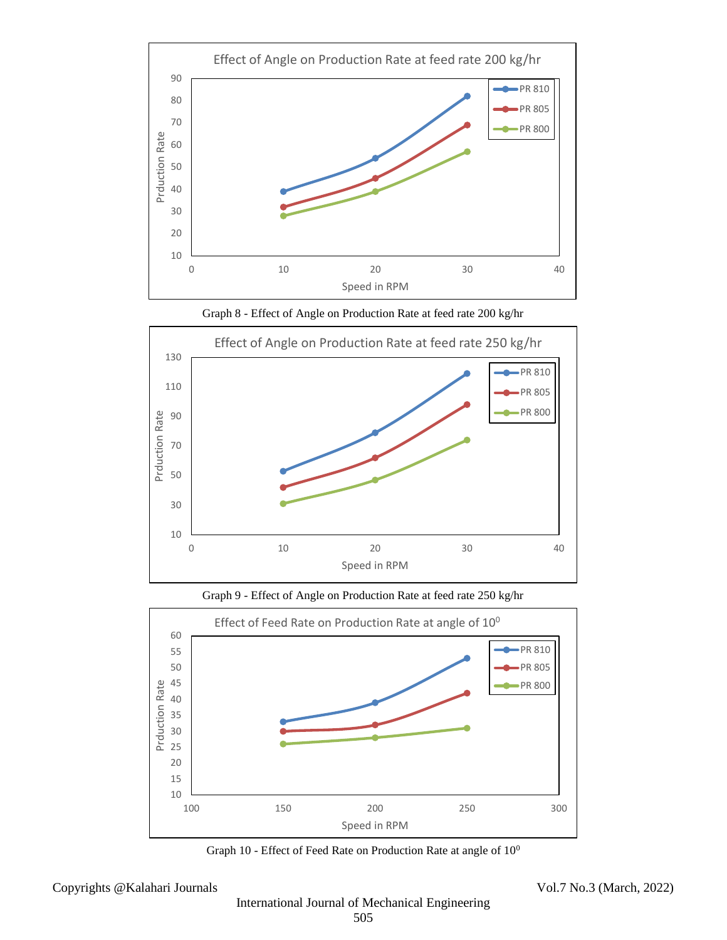









Graph 10 - Effect of Feed Rate on Production Rate at angle of  $10^0$ 

Copyrights @Kalahari Journals Vol.7 No.3 (March, 2022)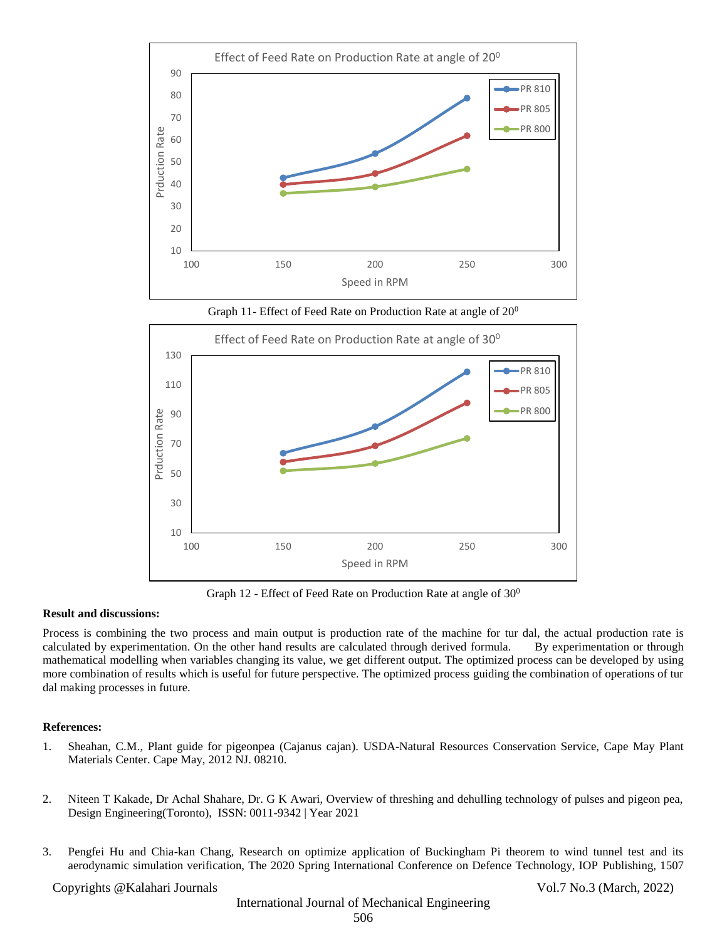

Graph 11- Effect of Feed Rate on Production Rate at angle of  $20^0$ 



Graph 12 - Effect of Feed Rate on Production Rate at angle of  $30^0$ 

#### **Result and discussions:**

Process is combining the two process and main output is production rate of the machine for tur dal, the actual production rate is calculated by experimentation. On the other hand results are calculated through derived formula. By experimentation or through mathematical modelling when variables changing its value, we get different output. The optimized process can be developed by using more combination of results which is useful for future perspective. The optimized process guiding the combination of operations of tur dal making processes in future.

#### **References:**

- 1. Sheahan, C.M., Plant guide for pigeonpea (Cajanus cajan). USDA-Natural Resources Conservation Service, Cape May Plant Materials Center. Cape May, 2012 NJ. 08210.
- 2. Niteen T Kakade, Dr Achal Shahare, Dr. G K Awari, Overview of threshing and dehulling technology of pulses and pigeon pea, Design Engineering(Toronto), ISSN: 0011-9342 | Year 2021
- 3. Pengfei Hu and Chia-kan Chang, Research on optimize application of Buckingham Pi theorem to wind tunnel test and its aerodynamic simulation verification, The 2020 Spring International Conference on Defence Technology, IOP Publishing, 1507